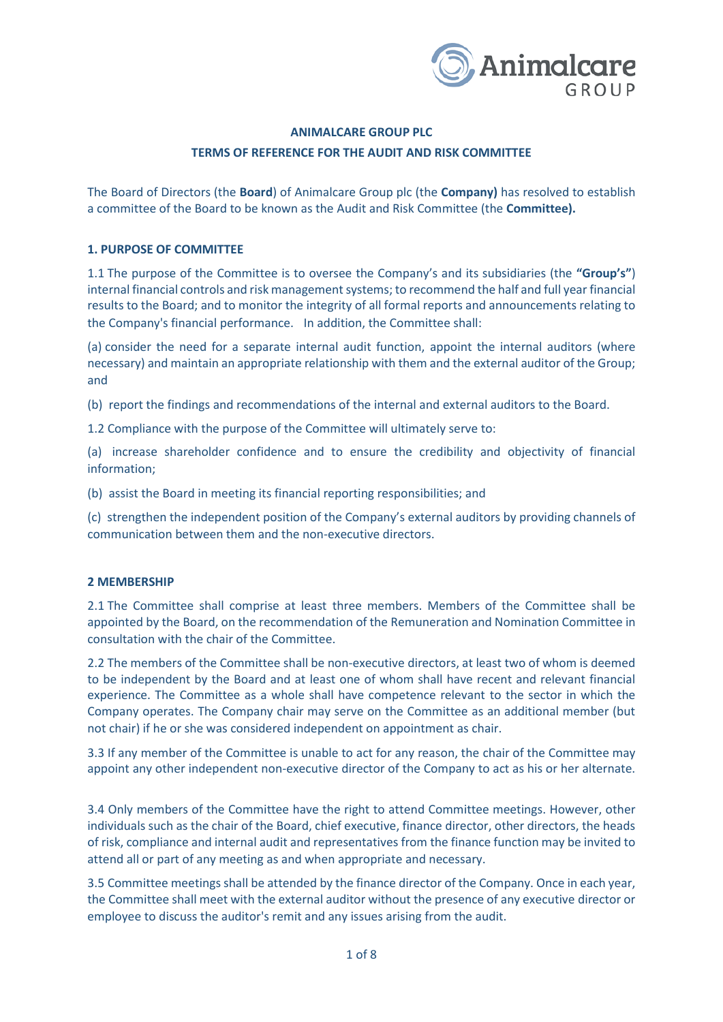

# **ANIMALCARE GROUP PLC TERMS OF REFERENCE FOR THE AUDIT AND RISK COMMITTEE**

The Board of Directors (the **Board**) of Animalcare Group plc (the **Company)** has resolved to establish a committee of the Board to be known as the Audit and Risk Committee (the **Committee).**

# **1. PURPOSE OF COMMITTEE**

1.1 The purpose of the Committee is to oversee the Company's and its subsidiaries (the **"Group's"**) internal financial controls and risk management systems; to recommend the half and full year financial results to the Board; and to monitor the integrity of all formal reports and announcements relating to the Company's financial performance. In addition, the Committee shall:

(a) consider the need for a separate internal audit function, appoint the internal auditors (where necessary) and maintain an appropriate relationship with them and the external auditor of the Group; and

(b) report the findings and recommendations of the internal and external auditors to the Board.

1.2 Compliance with the purpose of the Committee will ultimately serve to:

(a) increase shareholder confidence and to ensure the credibility and objectivity of financial information;

(b) assist the Board in meeting its financial reporting responsibilities; and

(c) strengthen the independent position of the Company's external auditors by providing channels of communication between them and the non-executive directors.

# **2 MEMBERSHIP**

2.1 The Committee shall comprise at least three members. Members of the Committee shall be appointed by the Board, on the recommendation of the Remuneration and Nomination Committee in consultation with the chair of the Committee.

2.2 The members of the Committee shall be non-executive directors, at least two of whom is deemed to be independent by the Board and at least one of whom shall have recent and relevant financial experience. The Committee as a whole shall have competence relevant to the sector in which the Company operates. The Company chair may serve on the Committee as an additional member (but not chair) if he or she was considered independent on appointment as chair.

3.3 If any member of the Committee is unable to act for any reason, the chair of the Committee may appoint any other independent non-executive director of the Company to act as his or her alternate.

3.4 Only members of the Committee have the right to attend Committee meetings. However, other individuals such as the chair of the Board, chief executive, finance director, other directors, the heads of risk, compliance and internal audit and representatives from the finance function may be invited to attend all or part of any meeting as and when appropriate and necessary.

3.5 Committee meetings shall be attended by the finance director of the Company. Once in each year, the Committee shall meet with the external auditor without the presence of any executive director or employee to discuss the auditor's remit and any issues arising from the audit.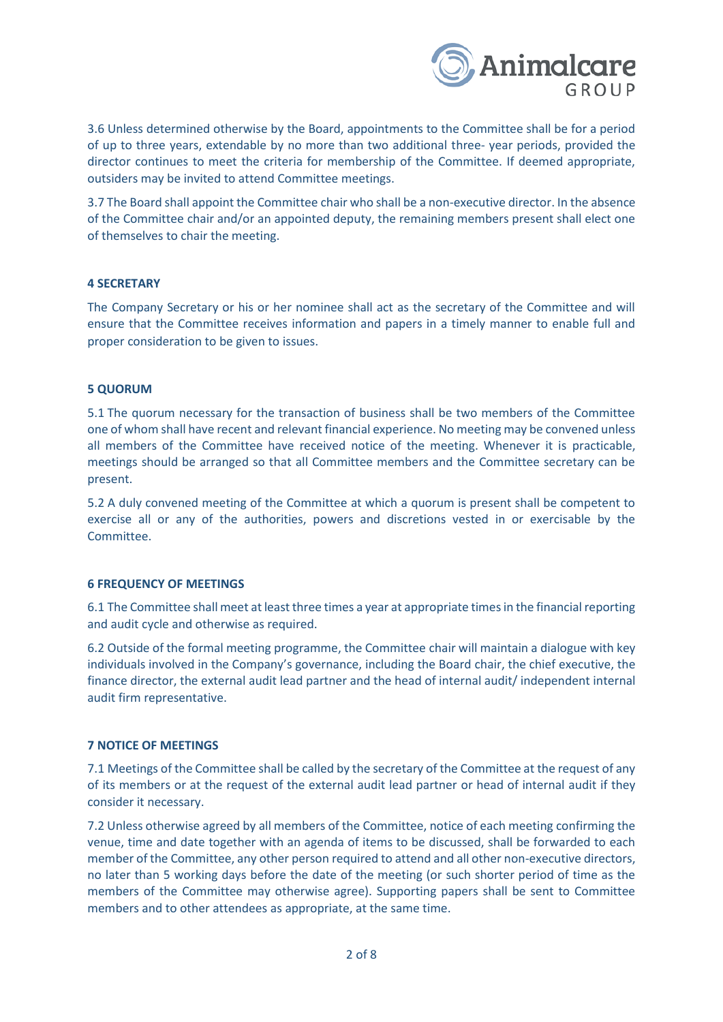

3.6 Unless determined otherwise by the Board, appointments to the Committee shall be for a period of up to three years, extendable by no more than two additional three- year periods, provided the director continues to meet the criteria for membership of the Committee. If deemed appropriate, outsiders may be invited to attend Committee meetings.

3.7 The Board shall appoint the Committee chair who shall be a non-executive director. In the absence of the Committee chair and/or an appointed deputy, the remaining members present shall elect one of themselves to chair the meeting.

# **4 SECRETARY**

The Company Secretary or his or her nominee shall act as the secretary of the Committee and will ensure that the Committee receives information and papers in a timely manner to enable full and proper consideration to be given to issues.

#### **5 QUORUM**

5.1 The quorum necessary for the transaction of business shall be two members of the Committee one of whom shall have recent and relevant financial experience. No meeting may be convened unless all members of the Committee have received notice of the meeting. Whenever it is practicable, meetings should be arranged so that all Committee members and the Committee secretary can be present.

5.2 A duly convened meeting of the Committee at which a quorum is present shall be competent to exercise all or any of the authorities, powers and discretions vested in or exercisable by the Committee.

# **6 FREQUENCY OF MEETINGS**

6.1 The Committee shall meet at least three times a year at appropriate times in the financial reporting and audit cycle and otherwise as required.

6.2 Outside of the formal meeting programme, the Committee chair will maintain a dialogue with key individuals involved in the Company's governance, including the Board chair, the chief executive, the finance director, the external audit lead partner and the head of internal audit/ independent internal audit firm representative.

# **7 NOTICE OF MEETINGS**

7.1 Meetings of the Committee shall be called by the secretary of the Committee at the request of any of its members or at the request of the external audit lead partner or head of internal audit if they consider it necessary.

7.2 Unless otherwise agreed by all members of the Committee, notice of each meeting confirming the venue, time and date together with an agenda of items to be discussed, shall be forwarded to each member of the Committee, any other person required to attend and all other non-executive directors, no later than 5 working days before the date of the meeting (or such shorter period of time as the members of the Committee may otherwise agree). Supporting papers shall be sent to Committee members and to other attendees as appropriate, at the same time.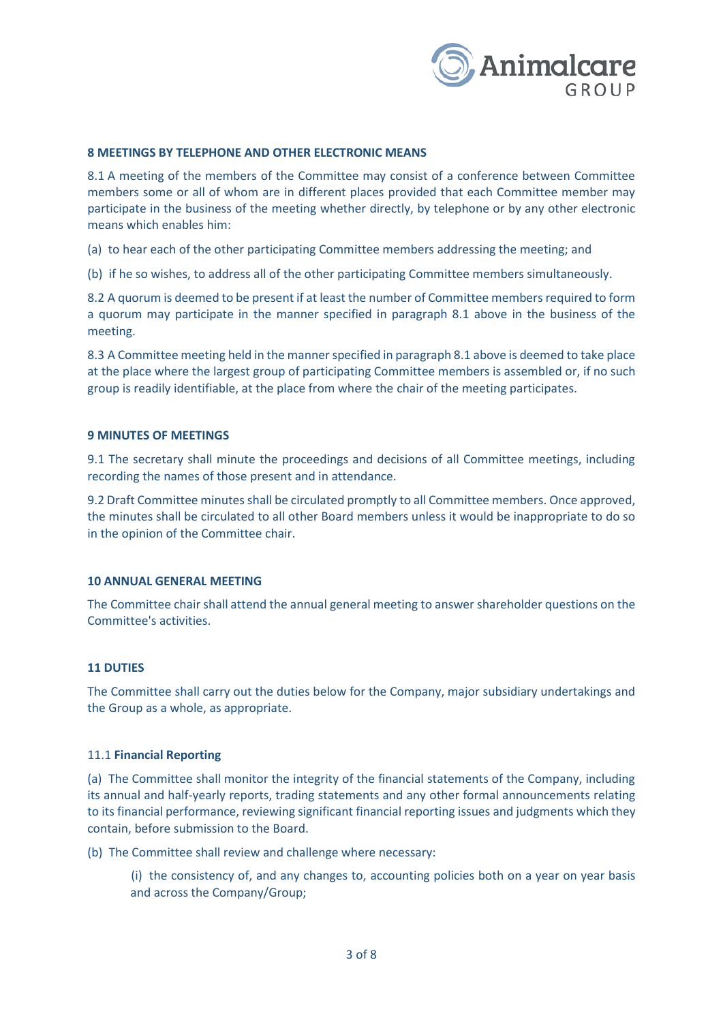

#### **8 MEETINGS BY TELEPHONE AND OTHER ELECTRONIC MEANS**

8.1 A meeting of the members of the Committee may consist of a conference between Committee members some or all of whom are in different places provided that each Committee member may participate in the business of the meeting whether directly, by telephone or by any other electronic means which enables him:

(a) to hear each of the other participating Committee members addressing the meeting; and

(b) if he so wishes, to address all of the other participating Committee members simultaneously.

8.2 A quorum is deemed to be present if at least the number of Committee members required to form a quorum may participate in the manner specified in paragraph 8.1 above in the business of the meeting.

8.3 A Committee meeting held in the manner specified in paragraph 8.1 above is deemed to take place at the place where the largest group of participating Committee members is assembled or, if no such group is readily identifiable, at the place from where the chair of the meeting participates.

#### **9 MINUTES OF MEETINGS**

9.1 The secretary shall minute the proceedings and decisions of all Committee meetings, including recording the names of those present and in attendance.

9.2 Draft Committee minutes shall be circulated promptly to all Committee members. Once approved, the minutes shall be circulated to all other Board members unless it would be inappropriate to do so in the opinion of the Committee chair.

#### **10 ANNUAL GENERAL MEETING**

The Committee chair shall attend the annual general meeting to answer shareholder questions on the Committee's activities.

# **11 DUTIES**

The Committee shall carry out the duties below for the Company, major subsidiary undertakings and the Group as a whole, as appropriate.

#### 11.1 **Financial Reporting**

(a) The Committee shall monitor the integrity of the financial statements of the Company, including its annual and half-yearly reports, trading statements and any other formal announcements relating to its financial performance, reviewing significant financial reporting issues and judgments which they contain, before submission to the Board.

(b) The Committee shall review and challenge where necessary:

(i) the consistency of, and any changes to, accounting policies both on a year on year basis and across the Company/Group;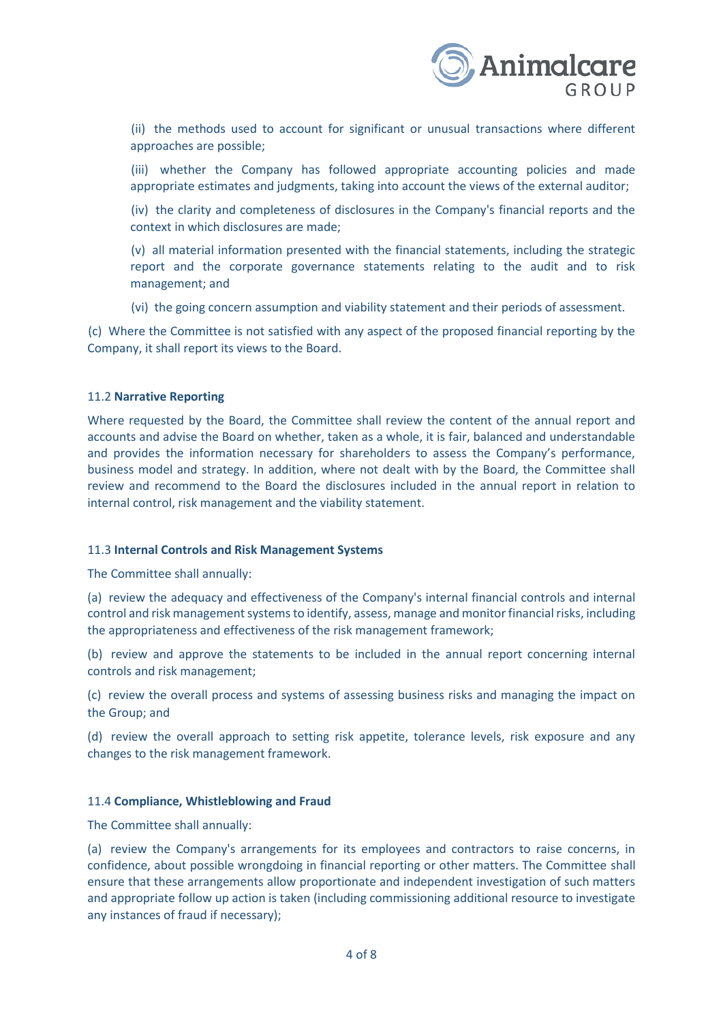

(ii) the methods used to account for significant or unusual transactions where different approaches are possible;

(iii) whether the Company has followed appropriate accounting policies and made appropriate estimates and judgments, taking into account the views of the external auditor;

(iv) the clarity and completeness of disclosures in the Company's financial reports and the context in which disclosures are made;

(v) all material information presented with the financial statements, including the strategic report and the corporate governance statements relating to the audit and to risk management; and

(vi) the going concern assumption and viability statement and their periods of assessment.

(c) Where the Committee is not satisfied with any aspect of the proposed financial reporting by the Company, it shall report its views to the Board.

# 11.2 **Narrative Reporting**

Where requested by the Board, the Committee shall review the content of the annual report and accounts and advise the Board on whether, taken as a whole, it is fair, balanced and understandable and provides the information necessary for shareholders to assess the Company's performance, business model and strategy. In addition, where not dealt with by the Board, the Committee shall review and recommend to the Board the disclosures included in the annual report in relation to internal control, risk management and the viability statement.

# 11.3 **Internal Controls and Risk Management Systems**

The Committee shall annually:

(a) review the adequacy and effectiveness of the Company's internal financial controls and internal control and risk management systems to identify, assess, manage and monitor financial risks, including the appropriateness and effectiveness of the risk management framework;

(b) review and approve the statements to be included in the annual report concerning internal controls and risk management;

(c) review the overall process and systems of assessing business risks and managing the impact on the Group; and

(d) review the overall approach to setting risk appetite, tolerance levels, risk exposure and any changes to the risk management framework.

# 11.4 **Compliance, Whistleblowing and Fraud**

The Committee shall annually:

(a) review the Company's arrangements for its employees and contractors to raise concerns, in confidence, about possible wrongdoing in financial reporting or other matters. The Committee shall ensure that these arrangements allow proportionate and independent investigation of such matters and appropriate follow up action is taken (including commissioning additional resource to investigate any instances of fraud if necessary);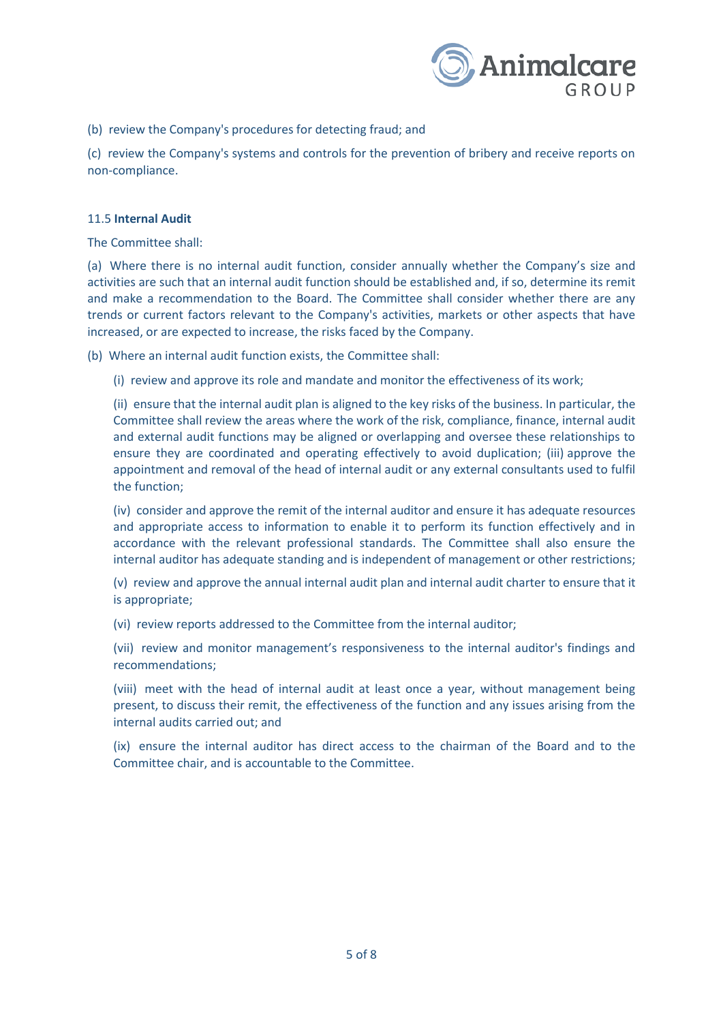

(b) review the Company's procedures for detecting fraud; and

(c) review the Company's systems and controls for the prevention of bribery and receive reports on non-compliance.

# 11.5 **Internal Audit**

The Committee shall:

(a) Where there is no internal audit function, consider annually whether the Company's size and activities are such that an internal audit function should be established and, if so, determine its remit and make a recommendation to the Board. The Committee shall consider whether there are any trends or current factors relevant to the Company's activities, markets or other aspects that have increased, or are expected to increase, the risks faced by the Company.

(b) Where an internal audit function exists, the Committee shall:

(i) review and approve its role and mandate and monitor the effectiveness of its work;

(ii) ensure that the internal audit plan is aligned to the key risks of the business. In particular, the Committee shall review the areas where the work of the risk, compliance, finance, internal audit and external audit functions may be aligned or overlapping and oversee these relationships to ensure they are coordinated and operating effectively to avoid duplication; (iii) approve the appointment and removal of the head of internal audit or any external consultants used to fulfil the function;

(iv) consider and approve the remit of the internal auditor and ensure it has adequate resources and appropriate access to information to enable it to perform its function effectively and in accordance with the relevant professional standards. The Committee shall also ensure the internal auditor has adequate standing and is independent of management or other restrictions;

(v) review and approve the annual internal audit plan and internal audit charter to ensure that it is appropriate;

(vi) review reports addressed to the Committee from the internal auditor;

(vii) review and monitor management's responsiveness to the internal auditor's findings and recommendations;

(viii) meet with the head of internal audit at least once a year, without management being present, to discuss their remit, the effectiveness of the function and any issues arising from the internal audits carried out; and

(ix) ensure the internal auditor has direct access to the chairman of the Board and to the Committee chair, and is accountable to the Committee.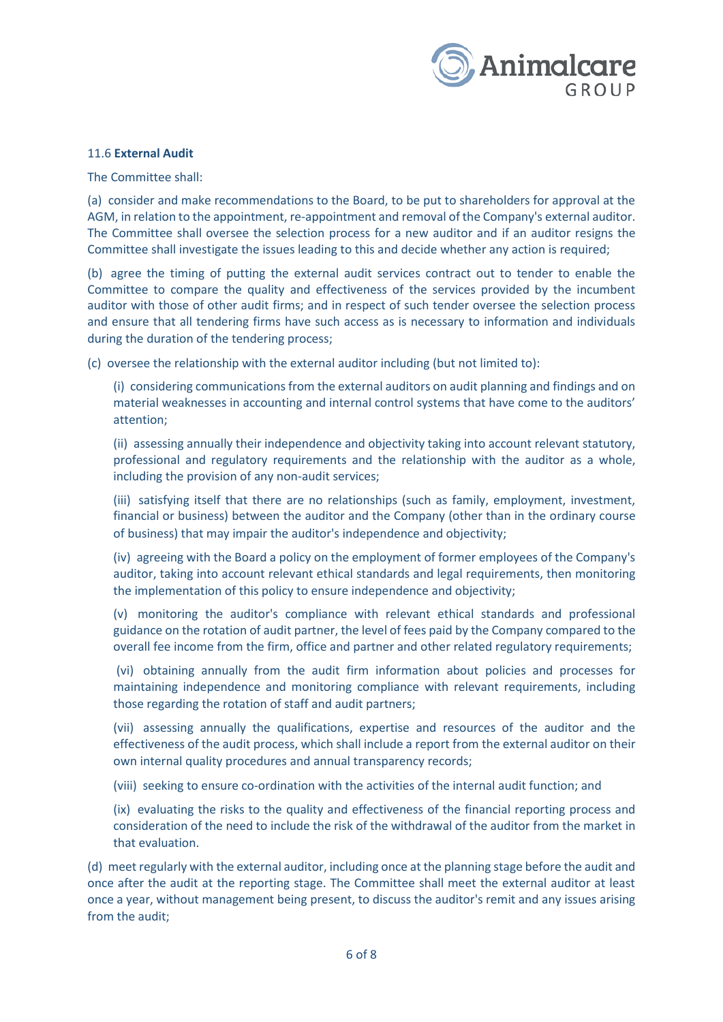

#### 11.6 **External Audit**

The Committee shall:

(a) consider and make recommendations to the Board, to be put to shareholders for approval at the AGM, in relation to the appointment, re-appointment and removal of the Company's external auditor. The Committee shall oversee the selection process for a new auditor and if an auditor resigns the Committee shall investigate the issues leading to this and decide whether any action is required;

(b) agree the timing of putting the external audit services contract out to tender to enable the Committee to compare the quality and effectiveness of the services provided by the incumbent auditor with those of other audit firms; and in respect of such tender oversee the selection process and ensure that all tendering firms have such access as is necessary to information and individuals during the duration of the tendering process;

(c) oversee the relationship with the external auditor including (but not limited to):

(i) considering communications from the external auditors on audit planning and findings and on material weaknesses in accounting and internal control systems that have come to the auditors' attention;

(ii) assessing annually their independence and objectivity taking into account relevant statutory, professional and regulatory requirements and the relationship with the auditor as a whole, including the provision of any non-audit services;

(iii) satisfying itself that there are no relationships (such as family, employment, investment, financial or business) between the auditor and the Company (other than in the ordinary course of business) that may impair the auditor's independence and objectivity;

(iv) agreeing with the Board a policy on the employment of former employees of the Company's auditor, taking into account relevant ethical standards and legal requirements, then monitoring the implementation of this policy to ensure independence and objectivity;

(v) monitoring the auditor's compliance with relevant ethical standards and professional guidance on the rotation of audit partner, the level of fees paid by the Company compared to the overall fee income from the firm, office and partner and other related regulatory requirements;

(vi) obtaining annually from the audit firm information about policies and processes for maintaining independence and monitoring compliance with relevant requirements, including those regarding the rotation of staff and audit partners;

(vii) assessing annually the qualifications, expertise and resources of the auditor and the effectiveness of the audit process, which shall include a report from the external auditor on their own internal quality procedures and annual transparency records;

(viii) seeking to ensure co-ordination with the activities of the internal audit function; and

(ix) evaluating the risks to the quality and effectiveness of the financial reporting process and consideration of the need to include the risk of the withdrawal of the auditor from the market in that evaluation.

(d) meet regularly with the external auditor, including once at the planning stage before the audit and once after the audit at the reporting stage. The Committee shall meet the external auditor at least once a year, without management being present, to discuss the auditor's remit and any issues arising from the audit;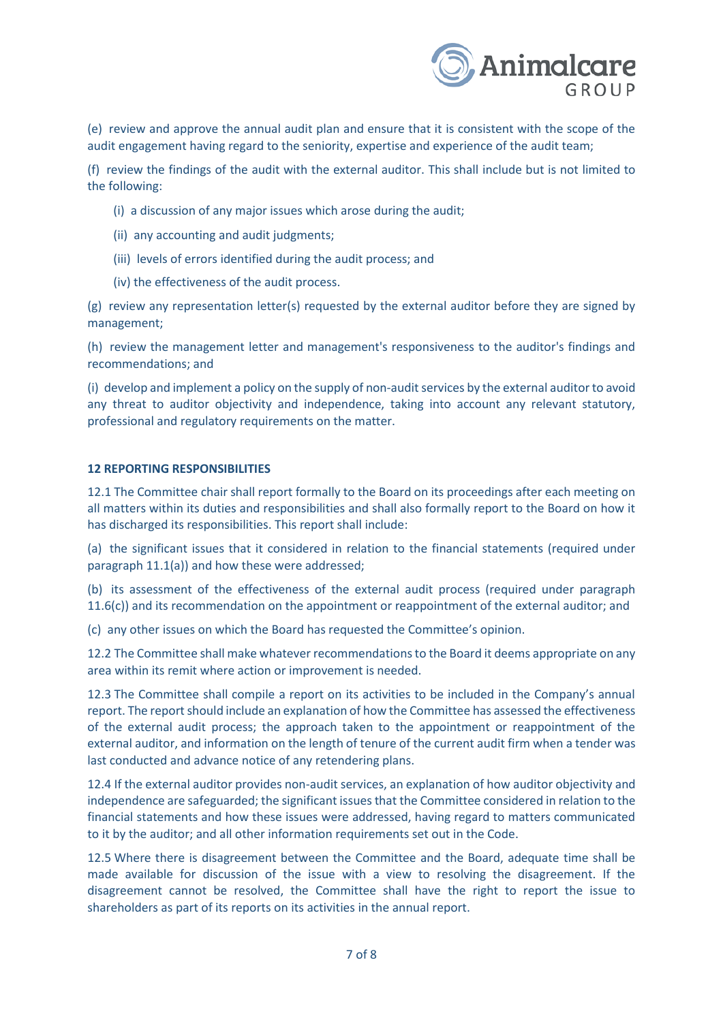

(e) review and approve the annual audit plan and ensure that it is consistent with the scope of the audit engagement having regard to the seniority, expertise and experience of the audit team;

(f) review the findings of the audit with the external auditor. This shall include but is not limited to the following:

- (i) a discussion of any major issues which arose during the audit;
- (ii) any accounting and audit judgments;
- (iii) levels of errors identified during the audit process; and
- (iv) the effectiveness of the audit process.

(g) review any representation letter(s) requested by the external auditor before they are signed by management;

(h) review the management letter and management's responsiveness to the auditor's findings and recommendations; and

(i) develop and implement a policy on the supply of non-audit services by the external auditor to avoid any threat to auditor objectivity and independence, taking into account any relevant statutory, professional and regulatory requirements on the matter.

#### **12 REPORTING RESPONSIBILITIES**

12.1 The Committee chair shall report formally to the Board on its proceedings after each meeting on all matters within its duties and responsibilities and shall also formally report to the Board on how it has discharged its responsibilities. This report shall include:

(a) the significant issues that it considered in relation to the financial statements (required under paragraph 11.1(a)) and how these were addressed;

(b) its assessment of the effectiveness of the external audit process (required under paragraph 11.6(c)) and its recommendation on the appointment or reappointment of the external auditor; and

(c) any other issues on which the Board has requested the Committee's opinion.

12.2 The Committee shall make whatever recommendations to the Board it deems appropriate on any area within its remit where action or improvement is needed.

12.3 The Committee shall compile a report on its activities to be included in the Company's annual report. The report should include an explanation of how the Committee has assessed the effectiveness of the external audit process; the approach taken to the appointment or reappointment of the external auditor, and information on the length of tenure of the current audit firm when a tender was last conducted and advance notice of any retendering plans.

12.4 If the external auditor provides non-audit services, an explanation of how auditor objectivity and independence are safeguarded; the significant issues that the Committee considered in relation to the financial statements and how these issues were addressed, having regard to matters communicated to it by the auditor; and all other information requirements set out in the Code.

12.5 Where there is disagreement between the Committee and the Board, adequate time shall be made available for discussion of the issue with a view to resolving the disagreement. If the disagreement cannot be resolved, the Committee shall have the right to report the issue to shareholders as part of its reports on its activities in the annual report.